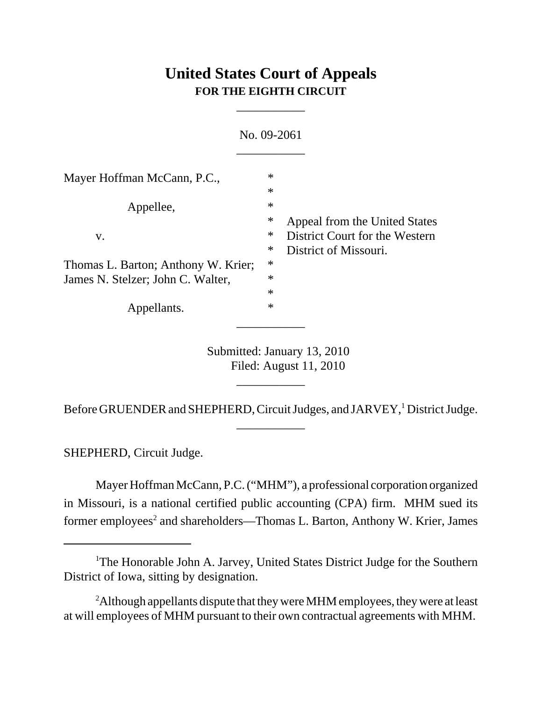# **United States Court of Appeals FOR THE EIGHTH CIRCUIT**

\_\_\_\_\_\_\_\_\_\_\_

| No. 09-2061                                                              |                                      |                                                                                          |
|--------------------------------------------------------------------------|--------------------------------------|------------------------------------------------------------------------------------------|
| Mayer Hoffman McCann, P.C.,                                              | $\ast$<br>$\ast$                     |                                                                                          |
| Appellee,<br>V.                                                          | $\ast$<br>$\ast$<br>$\ast$           | Appeal from the United States<br>District Court for the Western<br>District of Missouri. |
| Thomas L. Barton; Anthony W. Krier;<br>James N. Stelzer; John C. Walter, | $\ast$<br>$\ast$<br>$\ast$<br>$\ast$ |                                                                                          |
| Appellants.                                                              | $\ast$                               |                                                                                          |

Submitted: January 13, 2010 Filed: August 11, 2010

Before GRUENDER and SHEPHERD, Circuit Judges, and JARVEY,<sup>1</sup> District Judge. \_\_\_\_\_\_\_\_\_\_\_

\_\_\_\_\_\_\_\_\_\_\_

SHEPHERD, Circuit Judge.

Mayer Hoffman McCann, P.C. ("MHM"), a professional corporation organized in Missouri, is a national certified public accounting (CPA) firm. MHM sued its former employees<sup>2</sup> and shareholders—Thomas L. Barton, Anthony W. Krier, James

<sup>&</sup>lt;sup>1</sup>The Honorable John A. Jarvey, United States District Judge for the Southern District of Iowa, sitting by designation.

 $2$ Although appellants dispute that they were MHM employees, they were at least at will employees of MHM pursuant to their own contractual agreements with MHM.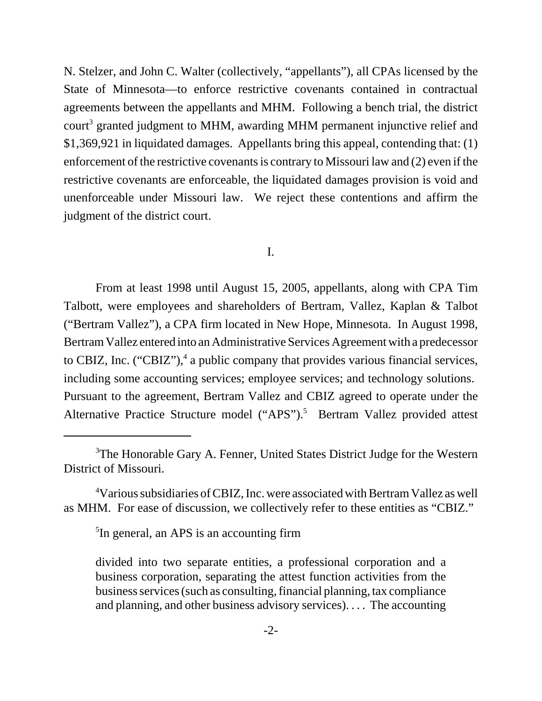N. Stelzer, and John C. Walter (collectively, "appellants"), all CPAs licensed by the State of Minnesota—to enforce restrictive covenants contained in contractual agreements between the appellants and MHM. Following a bench trial, the district court<sup>3</sup> granted judgment to MHM, awarding MHM permanent injunctive relief and \$1,369,921 in liquidated damages. Appellants bring this appeal, contending that: (1) enforcement of the restrictive covenants is contrary to Missouri law and (2) even if the restrictive covenants are enforceable, the liquidated damages provision is void and unenforceable under Missouri law. We reject these contentions and affirm the judgment of the district court.

## I.

From at least 1998 until August 15, 2005, appellants, along with CPA Tim Talbott, were employees and shareholders of Bertram, Vallez, Kaplan & Talbot ("Bertram Vallez"), a CPA firm located in New Hope, Minnesota. In August 1998, Bertram Vallez entered into an Administrative Services Agreement with a predecessor to CBIZ, Inc. ("CBIZ"), $4$  a public company that provides various financial services, including some accounting services; employee services; and technology solutions. Pursuant to the agreement, Bertram Vallez and CBIZ agreed to operate under the Alternative Practice Structure model ("APS").<sup>5</sup> Bertram Vallez provided attest

<sup>5</sup>In general, an APS is an accounting firm

<sup>&</sup>lt;sup>3</sup>The Honorable Gary A. Fenner, United States District Judge for the Western District of Missouri.

<sup>4</sup> Various subsidiaries of CBIZ, Inc. were associated with Bertram Vallez as well as MHM. For ease of discussion, we collectively refer to these entities as "CBIZ."

divided into two separate entities, a professional corporation and a business corporation, separating the attest function activities from the business services (such as consulting, financial planning, tax compliance and planning, and other business advisory services). . . . The accounting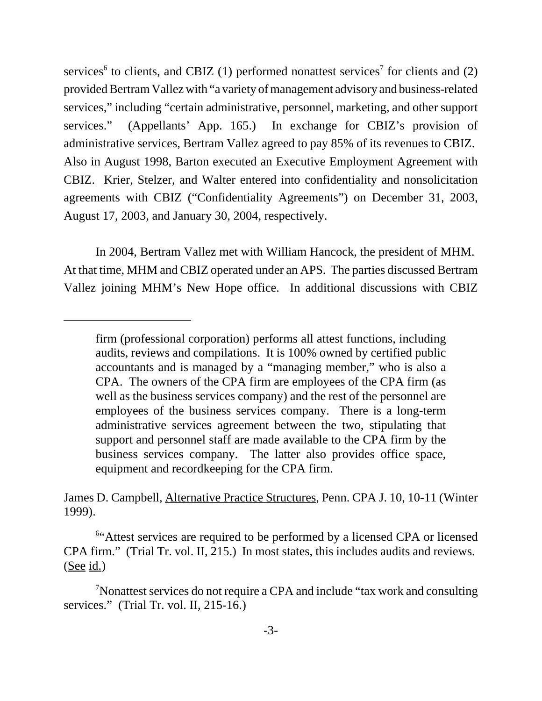services<sup>6</sup> to clients, and CBIZ (1) performed nonattest services<sup>7</sup> for clients and (2) provided Bertram Vallez with "a variety of management advisory and business-related services," including "certain administrative, personnel, marketing, and other support services." (Appellants' App. 165.) In exchange for CBIZ's provision of administrative services, Bertram Vallez agreed to pay 85% of its revenues to CBIZ. Also in August 1998, Barton executed an Executive Employment Agreement with CBIZ. Krier, Stelzer, and Walter entered into confidentiality and nonsolicitation agreements with CBIZ ("Confidentiality Agreements") on December 31, 2003, August 17, 2003, and January 30, 2004, respectively.

In 2004, Bertram Vallez met with William Hancock, the president of MHM. At that time, MHM and CBIZ operated under an APS. The parties discussed Bertram Vallez joining MHM's New Hope office. In additional discussions with CBIZ

James D. Campbell, Alternative Practice Structures, Penn. CPA J. 10, 10-11 (Winter 1999).

<sup>6"</sup>Attest services are required to be performed by a licensed CPA or licensed CPA firm." (Trial Tr. vol. II, 215.) In most states, this includes audits and reviews. (See id.)

<sup>7</sup>Nonattest services do not require a CPA and include "tax work and consulting services." (Trial Tr. vol. II, 215-16.)

firm (professional corporation) performs all attest functions, including audits, reviews and compilations. It is 100% owned by certified public accountants and is managed by a "managing member," who is also a CPA. The owners of the CPA firm are employees of the CPA firm (as well as the business services company) and the rest of the personnel are employees of the business services company. There is a long-term administrative services agreement between the two, stipulating that support and personnel staff are made available to the CPA firm by the business services company. The latter also provides office space, equipment and recordkeeping for the CPA firm.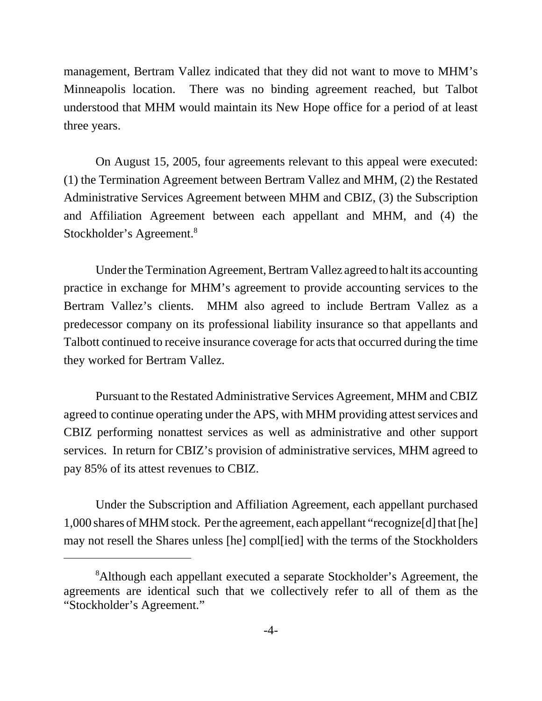management, Bertram Vallez indicated that they did not want to move to MHM's Minneapolis location. There was no binding agreement reached, but Talbot understood that MHM would maintain its New Hope office for a period of at least three years.

On August 15, 2005, four agreements relevant to this appeal were executed: (1) the Termination Agreement between Bertram Vallez and MHM, (2) the Restated Administrative Services Agreement between MHM and CBIZ, (3) the Subscription and Affiliation Agreement between each appellant and MHM, and (4) the Stockholder's Agreement.8

Under the Termination Agreement, Bertram Vallez agreed to halt its accounting practice in exchange for MHM's agreement to provide accounting services to the Bertram Vallez's clients. MHM also agreed to include Bertram Vallez as a predecessor company on its professional liability insurance so that appellants and Talbott continued to receive insurance coverage for acts that occurred during the time they worked for Bertram Vallez.

Pursuant to the Restated Administrative Services Agreement, MHM and CBIZ agreed to continue operating under the APS, with MHM providing attest services and CBIZ performing nonattest services as well as administrative and other support services. In return for CBIZ's provision of administrative services, MHM agreed to pay 85% of its attest revenues to CBIZ.

Under the Subscription and Affiliation Agreement, each appellant purchased 1,000 shares of MHM stock. Per the agreement, each appellant "recognize[d] that [he] may not resell the Shares unless [he] compl[ied] with the terms of the Stockholders

<sup>&</sup>lt;sup>8</sup>Although each appellant executed a separate Stockholder's Agreement, the agreements are identical such that we collectively refer to all of them as the "Stockholder's Agreement."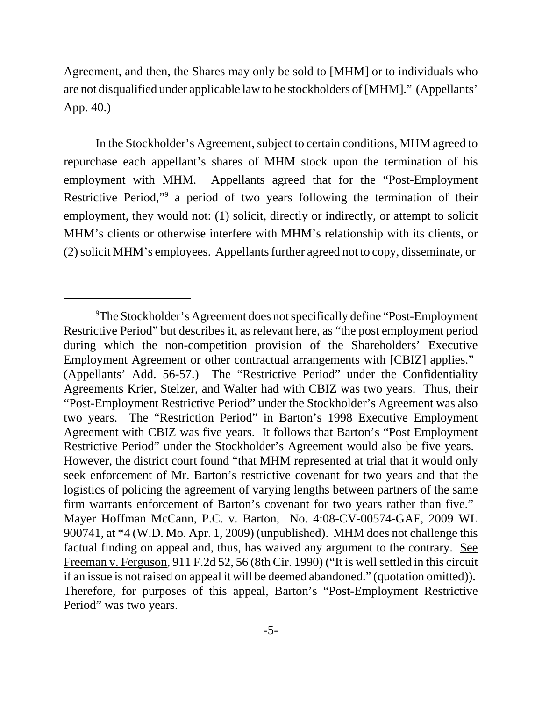Agreement, and then, the Shares may only be sold to [MHM] or to individuals who are not disqualified under applicable law to be stockholders of [MHM]." (Appellants' App. 40.)

In the Stockholder's Agreement, subject to certain conditions, MHM agreed to repurchase each appellant's shares of MHM stock upon the termination of his employment with MHM. Appellants agreed that for the "Post-Employment Restrictive Period,"<sup>9</sup> a period of two years following the termination of their employment, they would not: (1) solicit, directly or indirectly, or attempt to solicit MHM's clients or otherwise interfere with MHM's relationship with its clients, or (2) solicit MHM's employees. Appellants further agreed not to copy, disseminate, or

<sup>&</sup>lt;sup>9</sup>The Stockholder's Agreement does not specifically define "Post-Employment" Restrictive Period" but describes it, as relevant here, as "the post employment period during which the non-competition provision of the Shareholders' Executive Employment Agreement or other contractual arrangements with [CBIZ] applies." (Appellants' Add. 56-57.) The "Restrictive Period" under the Confidentiality Agreements Krier, Stelzer, and Walter had with CBIZ was two years. Thus, their "Post-Employment Restrictive Period" under the Stockholder's Agreement was also two years. The "Restriction Period" in Barton's 1998 Executive Employment Agreement with CBIZ was five years. It follows that Barton's "Post Employment Restrictive Period" under the Stockholder's Agreement would also be five years. However, the district court found "that MHM represented at trial that it would only seek enforcement of Mr. Barton's restrictive covenant for two years and that the logistics of policing the agreement of varying lengths between partners of the same firm warrants enforcement of Barton's covenant for two years rather than five." Mayer Hoffman McCann, P.C. v. Barton, No. 4:08-CV-00574-GAF, 2009 WL 900741, at \*4 (W.D. Mo. Apr. 1, 2009) (unpublished). MHM does not challenge this factual finding on appeal and, thus, has waived any argument to the contrary. See Freeman v. Ferguson, 911 F.2d 52, 56 (8th Cir. 1990) ("It is well settled in this circuit if an issue is not raised on appeal it will be deemed abandoned." (quotation omitted)). Therefore, for purposes of this appeal, Barton's "Post-Employment Restrictive Period" was two years.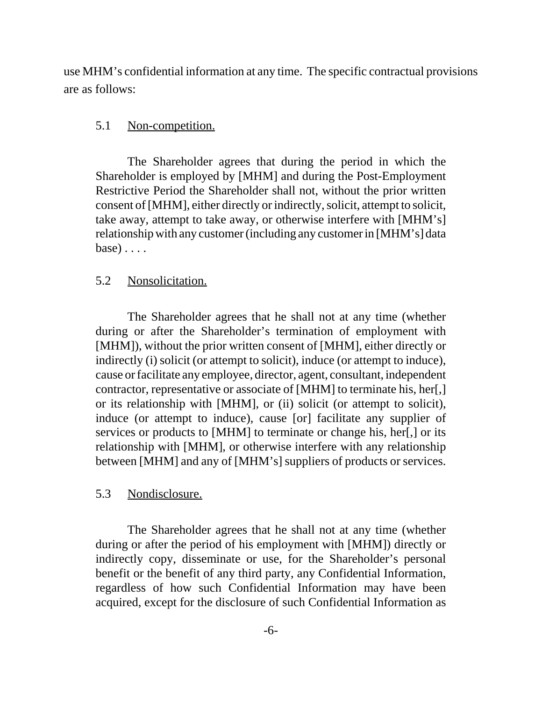use MHM's confidential information at any time. The specific contractual provisions are as follows:

#### 5.1 Non-competition.

The Shareholder agrees that during the period in which the Shareholder is employed by [MHM] and during the Post-Employment Restrictive Period the Shareholder shall not, without the prior written consent of [MHM], either directly or indirectly, solicit, attempt to solicit, take away, attempt to take away, or otherwise interfere with [MHM's] relationship with any customer (including any customer in [MHM's] data base) . . . .

### 5.2 Nonsolicitation.

The Shareholder agrees that he shall not at any time (whether during or after the Shareholder's termination of employment with [MHM]), without the prior written consent of [MHM], either directly or indirectly (i) solicit (or attempt to solicit), induce (or attempt to induce), cause or facilitate any employee, director, agent, consultant, independent contractor, representative or associate of [MHM] to terminate his, her[,] or its relationship with [MHM], or (ii) solicit (or attempt to solicit), induce (or attempt to induce), cause [or] facilitate any supplier of services or products to [MHM] to terminate or change his, her[,] or its relationship with [MHM], or otherwise interfere with any relationship between [MHM] and any of [MHM's] suppliers of products or services.

# 5.3 Nondisclosure.

The Shareholder agrees that he shall not at any time (whether during or after the period of his employment with [MHM]) directly or indirectly copy, disseminate or use, for the Shareholder's personal benefit or the benefit of any third party, any Confidential Information, regardless of how such Confidential Information may have been acquired, except for the disclosure of such Confidential Information as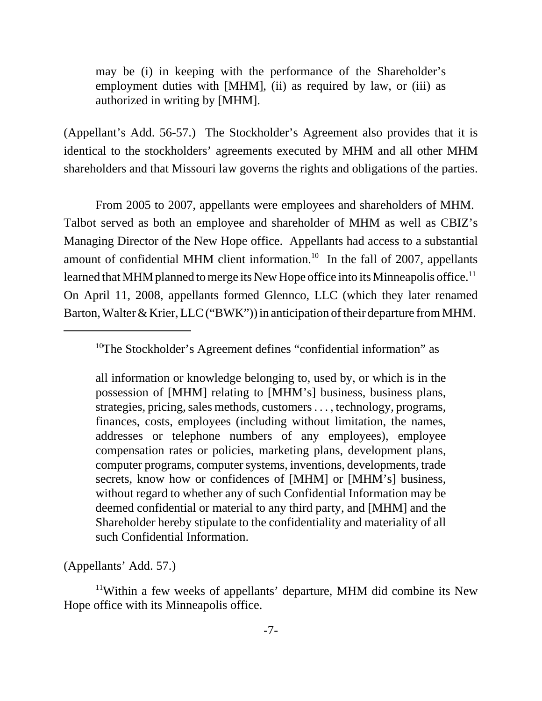may be (i) in keeping with the performance of the Shareholder's employment duties with [MHM], (ii) as required by law, or (iii) as authorized in writing by [MHM].

(Appellant's Add. 56-57.) The Stockholder's Agreement also provides that it is identical to the stockholders' agreements executed by MHM and all other MHM shareholders and that Missouri law governs the rights and obligations of the parties.

From 2005 to 2007, appellants were employees and shareholders of MHM. Talbot served as both an employee and shareholder of MHM as well as CBIZ's Managing Director of the New Hope office. Appellants had access to a substantial amount of confidential MHM client information.<sup>10</sup> In the fall of 2007, appellants learned that MHM planned to merge its New Hope office into its Minneapolis office.<sup>11</sup> On April 11, 2008, appellants formed Glennco, LLC (which they later renamed Barton, Walter & Krier, LLC ("BWK")) in anticipation of their departure from MHM.

all information or knowledge belonging to, used by, or which is in the possession of [MHM] relating to [MHM's] business, business plans, strategies, pricing, sales methods, customers . . . , technology, programs, finances, costs, employees (including without limitation, the names, addresses or telephone numbers of any employees), employee compensation rates or policies, marketing plans, development plans, computer programs, computer systems, inventions, developments, trade secrets, know how or confidences of [MHM] or [MHM's] business, without regard to whether any of such Confidential Information may be deemed confidential or material to any third party, and [MHM] and the Shareholder hereby stipulate to the confidentiality and materiality of all such Confidential Information.

(Appellants' Add. 57.)

11Within a few weeks of appellants' departure, MHM did combine its New Hope office with its Minneapolis office.

<sup>&</sup>lt;sup>10</sup>The Stockholder's Agreement defines "confidential information" as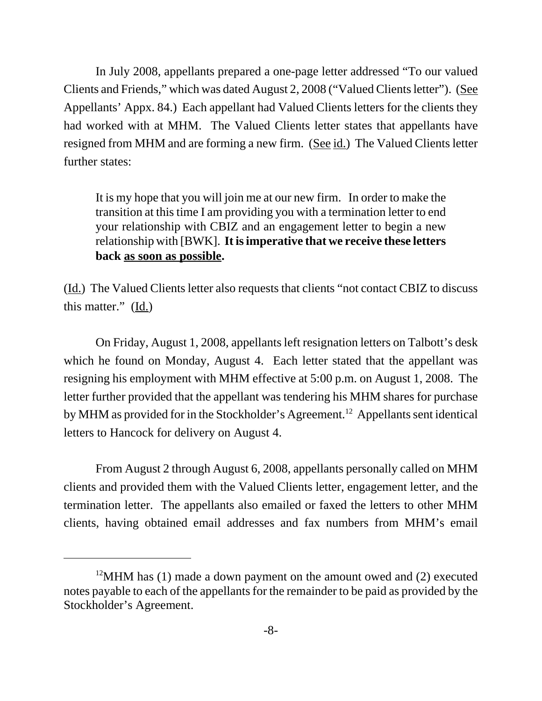In July 2008, appellants prepared a one-page letter addressed "To our valued Clients and Friends," which was dated August 2, 2008 ("Valued Clients letter"). (See Appellants' Appx. 84.) Each appellant had Valued Clients letters for the clients they had worked with at MHM. The Valued Clients letter states that appellants have resigned from MHM and are forming a new firm. (See id.) The Valued Clients letter further states:

It is my hope that you will join me at our new firm. In order to make the transition at this time I am providing you with a termination letter to end your relationship with CBIZ and an engagement letter to begin a new relationship with [BWK]. **It is imperative that we receive these letters back as soon as possible.**

(Id.) The Valued Clients letter also requests that clients "not contact CBIZ to discuss this matter." (Id.)

On Friday, August 1, 2008, appellants left resignation letters on Talbott's desk which he found on Monday, August 4. Each letter stated that the appellant was resigning his employment with MHM effective at 5:00 p.m. on August 1, 2008. The letter further provided that the appellant was tendering his MHM shares for purchase by MHM as provided for in the Stockholder's Agreement.<sup>12</sup> Appellants sent identical letters to Hancock for delivery on August 4.

From August 2 through August 6, 2008, appellants personally called on MHM clients and provided them with the Valued Clients letter, engagement letter, and the termination letter. The appellants also emailed or faxed the letters to other MHM clients, having obtained email addresses and fax numbers from MHM's email

<sup>&</sup>lt;sup>12</sup>MHM has (1) made a down payment on the amount owed and (2) executed notes payable to each of the appellants for the remainder to be paid as provided by the Stockholder's Agreement.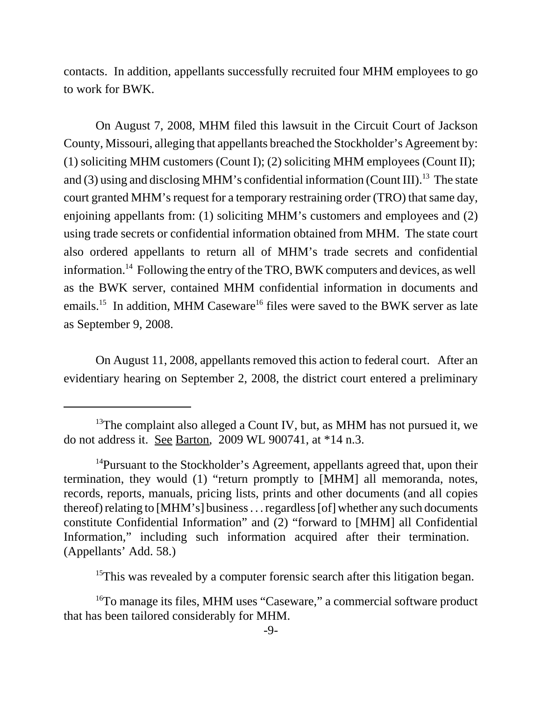contacts. In addition, appellants successfully recruited four MHM employees to go to work for BWK.

On August 7, 2008, MHM filed this lawsuit in the Circuit Court of Jackson County, Missouri, alleging that appellants breached the Stockholder's Agreement by: (1) soliciting MHM customers (Count I); (2) soliciting MHM employees (Count II); and (3) using and disclosing MHM's confidential information (Count III).<sup>13</sup> The state court granted MHM's request for a temporary restraining order (TRO) that same day, enjoining appellants from: (1) soliciting MHM's customers and employees and (2) using trade secrets or confidential information obtained from MHM. The state court also ordered appellants to return all of MHM's trade secrets and confidential information.14 Following the entry of the TRO, BWK computers and devices, as well as the BWK server, contained MHM confidential information in documents and emails.<sup>15</sup> In addition, MHM Caseware<sup>16</sup> files were saved to the BWK server as late as September 9, 2008.

On August 11, 2008, appellants removed this action to federal court. After an evidentiary hearing on September 2, 2008, the district court entered a preliminary

<sup>15</sup>This was revealed by a computer forensic search after this litigation began.

 $13$ <sup>13</sup>The complaint also alleged a Count IV, but, as MHM has not pursued it, we do not address it. See Barton, 2009 WL 900741, at \*14 n.3.

<sup>&</sup>lt;sup>14</sup>Pursuant to the Stockholder's Agreement, appellants agreed that, upon their termination, they would (1) "return promptly to [MHM] all memoranda, notes, records, reports, manuals, pricing lists, prints and other documents (and all copies thereof) relating to [MHM's] business . . . regardless [of] whether any such documents constitute Confidential Information" and (2) "forward to [MHM] all Confidential Information," including such information acquired after their termination. (Appellants' Add. 58.)

<sup>&</sup>lt;sup>16</sup>To manage its files, MHM uses "Caseware," a commercial software product that has been tailored considerably for MHM.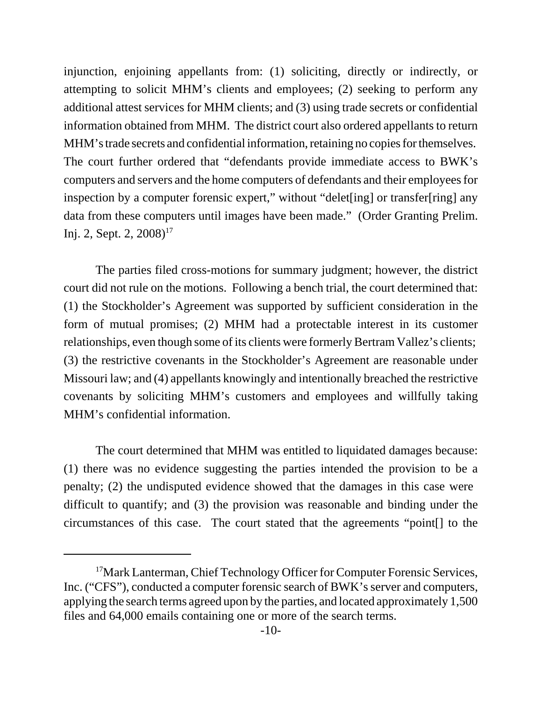injunction, enjoining appellants from: (1) soliciting, directly or indirectly, or attempting to solicit MHM's clients and employees; (2) seeking to perform any additional attest services for MHM clients; and (3) using trade secrets or confidential information obtained from MHM. The district court also ordered appellants to return MHM's trade secrets and confidential information, retaining no copies for themselves. The court further ordered that "defendants provide immediate access to BWK's computers and servers and the home computers of defendants and their employees for inspection by a computer forensic expert," without "delet[ing] or transfer[ring] any data from these computers until images have been made." (Order Granting Prelim. Inj. 2, Sept. 2,  $2008$ <sup>17</sup>

The parties filed cross-motions for summary judgment; however, the district court did not rule on the motions. Following a bench trial, the court determined that: (1) the Stockholder's Agreement was supported by sufficient consideration in the form of mutual promises; (2) MHM had a protectable interest in its customer relationships, even though some of its clients were formerly Bertram Vallez's clients; (3) the restrictive covenants in the Stockholder's Agreement are reasonable under Missouri law; and (4) appellants knowingly and intentionally breached the restrictive covenants by soliciting MHM's customers and employees and willfully taking MHM's confidential information.

The court determined that MHM was entitled to liquidated damages because: (1) there was no evidence suggesting the parties intended the provision to be a penalty; (2) the undisputed evidence showed that the damages in this case were difficult to quantify; and (3) the provision was reasonable and binding under the circumstances of this case. The court stated that the agreements "point[] to the

<sup>&</sup>lt;sup>17</sup>Mark Lanterman, Chief Technology Officer for Computer Forensic Services, Inc. ("CFS"), conducted a computer forensic search of BWK's server and computers, applying the search terms agreed upon by the parties, and located approximately 1,500 files and 64,000 emails containing one or more of the search terms.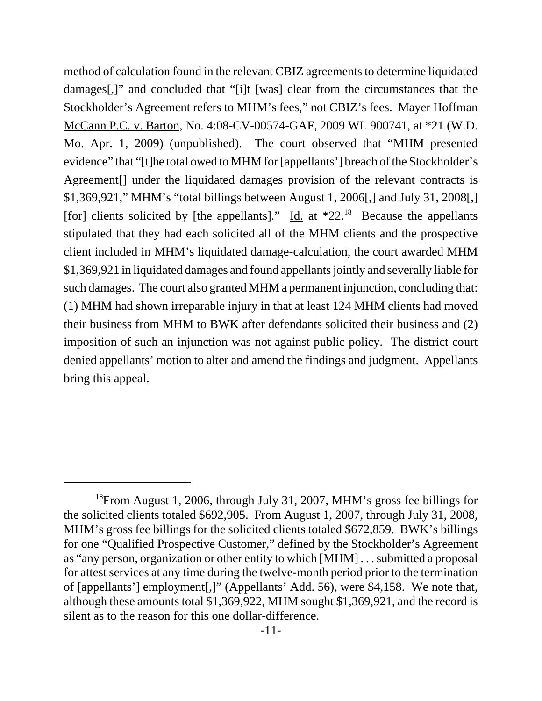method of calculation found in the relevant CBIZ agreements to determine liquidated damages[,]" and concluded that "[i]t [was] clear from the circumstances that the Stockholder's Agreement refers to MHM's fees," not CBIZ's fees. Mayer Hoffman McCann P.C. v. Barton, No. 4:08-CV-00574-GAF, 2009 WL 900741, at \*21 (W.D. Mo. Apr. 1, 2009) (unpublished). The court observed that "MHM presented evidence" that "[t]he total owed to MHM for [appellants'] breach of the Stockholder's Agreement[] under the liquidated damages provision of the relevant contracts is \$1,369,921," MHM's "total billings between August 1, 2006[,] and July 31, 2008[,] [for] clients solicited by [the appellants]." Id. at  $*22.^{18}$  Because the appellants stipulated that they had each solicited all of the MHM clients and the prospective client included in MHM's liquidated damage-calculation, the court awarded MHM \$1,369,921 in liquidated damages and found appellants jointly and severally liable for such damages. The court also granted MHM a permanent injunction, concluding that: (1) MHM had shown irreparable injury in that at least 124 MHM clients had moved their business from MHM to BWK after defendants solicited their business and (2) imposition of such an injunction was not against public policy. The district court denied appellants' motion to alter and amend the findings and judgment. Appellants bring this appeal.

<sup>&</sup>lt;sup>18</sup>From August 1, 2006, through July 31, 2007, MHM's gross fee billings for the solicited clients totaled \$692,905. From August 1, 2007, through July 31, 2008, MHM's gross fee billings for the solicited clients totaled \$672,859. BWK's billings for one "Qualified Prospective Customer," defined by the Stockholder's Agreement as "any person, organization or other entity to which [MHM] . . . submitted a proposal for attest services at any time during the twelve-month period prior to the termination of [appellants'] employment[,]" (Appellants' Add. 56), were \$4,158. We note that, although these amounts total \$1,369,922, MHM sought \$1,369,921, and the record is silent as to the reason for this one dollar-difference.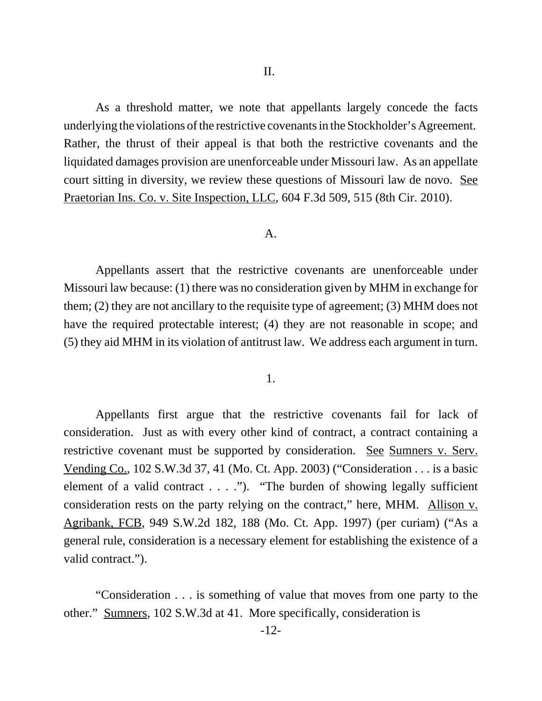As a threshold matter, we note that appellants largely concede the facts underlying the violations of the restrictive covenants in the Stockholder's Agreement. Rather, the thrust of their appeal is that both the restrictive covenants and the liquidated damages provision are unenforceable under Missouri law. As an appellate court sitting in diversity, we review these questions of Missouri law de novo. See Praetorian Ins. Co. v. Site Inspection, LLC, 604 F.3d 509, 515 (8th Cir. 2010).

#### A.

Appellants assert that the restrictive covenants are unenforceable under Missouri law because: (1) there was no consideration given by MHM in exchange for them; (2) they are not ancillary to the requisite type of agreement; (3) MHM does not have the required protectable interest; (4) they are not reasonable in scope; and (5) they aid MHM in its violation of antitrust law. We address each argument in turn.

# 1.

Appellants first argue that the restrictive covenants fail for lack of consideration. Just as with every other kind of contract, a contract containing a restrictive covenant must be supported by consideration. See Sumners v. Serv. Vending Co., 102 S.W.3d 37, 41 (Mo. Ct. App. 2003) ("Consideration . . . is a basic element of a valid contract  $\dots$ ."). "The burden of showing legally sufficient consideration rests on the party relying on the contract," here, MHM. Allison v. Agribank, FCB, 949 S.W.2d 182, 188 (Mo. Ct. App. 1997) (per curiam) ("As a general rule, consideration is a necessary element for establishing the existence of a valid contract.").

"Consideration . . . is something of value that moves from one party to the other." Sumners, 102 S.W.3d at 41. More specifically, consideration is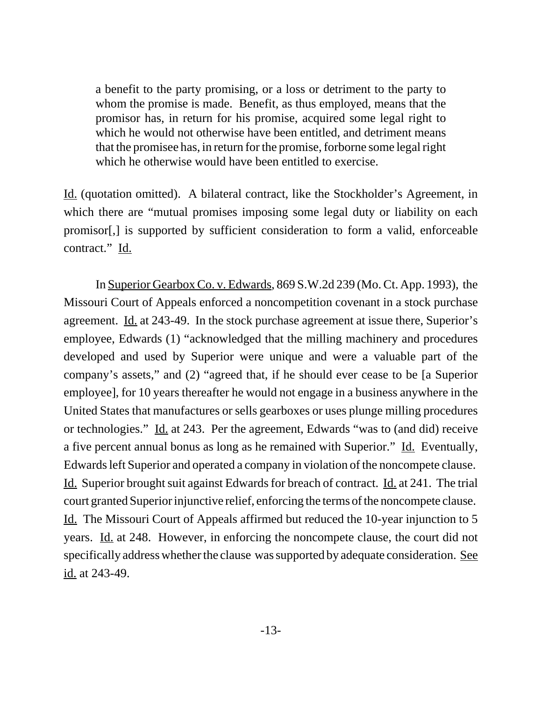a benefit to the party promising, or a loss or detriment to the party to whom the promise is made. Benefit, as thus employed, means that the promisor has, in return for his promise, acquired some legal right to which he would not otherwise have been entitled, and detriment means that the promisee has, in return for the promise, forborne some legal right which he otherwise would have been entitled to exercise.

Id. (quotation omitted). A bilateral contract, like the Stockholder's Agreement, in which there are "mutual promises imposing some legal duty or liability on each promisor[,] is supported by sufficient consideration to form a valid, enforceable contract." Id.

In Superior Gearbox Co. v. Edwards, 869 S.W.2d 239 (Mo. Ct. App. 1993), the Missouri Court of Appeals enforced a noncompetition covenant in a stock purchase agreement. Id. at 243-49. In the stock purchase agreement at issue there, Superior's employee, Edwards (1) "acknowledged that the milling machinery and procedures developed and used by Superior were unique and were a valuable part of the company's assets," and (2) "agreed that, if he should ever cease to be [a Superior employee], for 10 years thereafter he would not engage in a business anywhere in the United States that manufactures or sells gearboxes or uses plunge milling procedures or technologies." Id. at 243. Per the agreement, Edwards "was to (and did) receive a five percent annual bonus as long as he remained with Superior." Id. Eventually, Edwards left Superior and operated a company in violation of the noncompete clause. Id. Superior brought suit against Edwards for breach of contract. Id. at 241. The trial court granted Superior injunctive relief, enforcing the terms of the noncompete clause. Id. The Missouri Court of Appeals affirmed but reduced the 10-year injunction to 5 years. Id. at 248. However, in enforcing the noncompete clause, the court did not specifically address whether the clause was supported by adequate consideration. See id. at 243-49.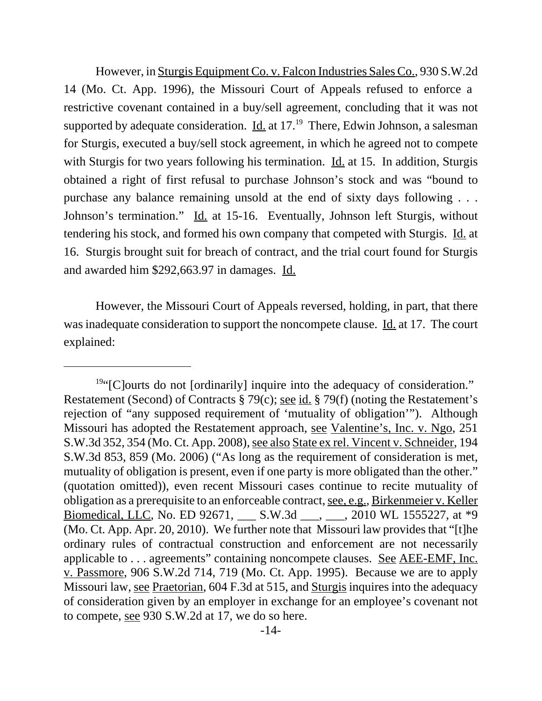However, in Sturgis Equipment Co. v. Falcon Industries Sales Co., 930 S.W.2d 14 (Mo. Ct. App. 1996), the Missouri Court of Appeals refused to enforce a restrictive covenant contained in a buy/sell agreement, concluding that it was not supported by adequate consideration. Id. at  $17<sup>19</sup>$  There, Edwin Johnson, a salesman for Sturgis, executed a buy/sell stock agreement, in which he agreed not to compete with Sturgis for two years following his termination. Id. at 15. In addition, Sturgis obtained a right of first refusal to purchase Johnson's stock and was "bound to purchase any balance remaining unsold at the end of sixty days following . . . Johnson's termination." Id. at 15-16. Eventually, Johnson left Sturgis, without tendering his stock, and formed his own company that competed with Sturgis. Id. at 16. Sturgis brought suit for breach of contract, and the trial court found for Sturgis and awarded him \$292,663.97 in damages. Id.

However, the Missouri Court of Appeals reversed, holding, in part, that there was inadequate consideration to support the noncompete clause. Id. at 17. The court explained:

<sup>&</sup>lt;sup>19"</sup>[C]ourts do not [ordinarily] inquire into the adequacy of consideration." Restatement (Second) of Contracts § 79(c); see id. § 79(f) (noting the Restatement's rejection of "any supposed requirement of 'mutuality of obligation'"). Although Missouri has adopted the Restatement approach, see Valentine's, Inc. v. Ngo, 251 S.W.3d 352, 354 (Mo. Ct. App. 2008), see also State ex rel. Vincent v. Schneider, 194 S.W.3d 853, 859 (Mo. 2006) ("As long as the requirement of consideration is met, mutuality of obligation is present, even if one party is more obligated than the other." (quotation omitted)), even recent Missouri cases continue to recite mutuality of obligation as a prerequisite to an enforceable contract, see, e.g., Birkenmeier v. Keller Biomedical, LLC, No. ED 92671, \_\_\_\_ S.W.3d \_\_\_, \_\_\_, 2010 WL 1555227, at \*9 (Mo. Ct. App. Apr. 20, 2010). We further note that Missouri law provides that "[t]he ordinary rules of contractual construction and enforcement are not necessarily applicable to . . . agreements" containing noncompete clauses. See AEE-EMF, Inc. v. Passmore, 906 S.W.2d 714, 719 (Mo. Ct. App. 1995). Because we are to apply Missouri law, see Praetorian, 604 F.3d at 515, and Sturgis inquires into the adequacy of consideration given by an employer in exchange for an employee's covenant not to compete, see 930 S.W.2d at 17, we do so here.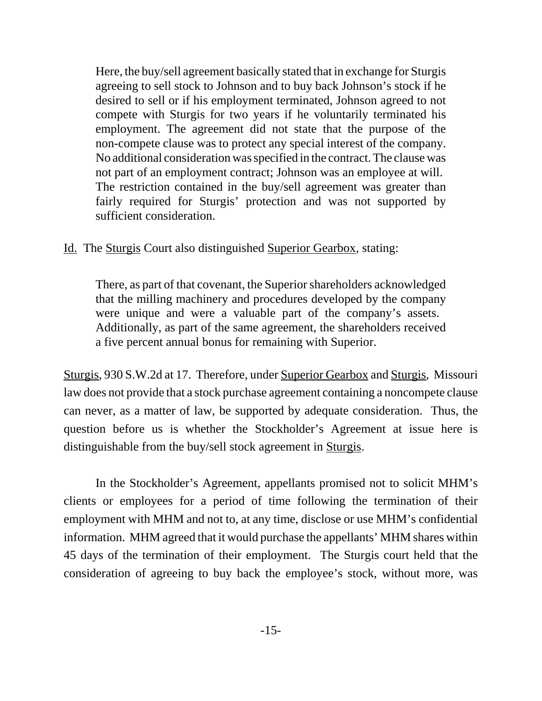Here, the buy/sell agreement basically stated that in exchange for Sturgis agreeing to sell stock to Johnson and to buy back Johnson's stock if he desired to sell or if his employment terminated, Johnson agreed to not compete with Sturgis for two years if he voluntarily terminated his employment. The agreement did not state that the purpose of the non-compete clause was to protect any special interest of the company. No additional consideration was specified in the contract. The clause was not part of an employment contract; Johnson was an employee at will. The restriction contained in the buy/sell agreement was greater than fairly required for Sturgis' protection and was not supported by sufficient consideration.

Id. The Sturgis Court also distinguished Superior Gearbox, stating:

There, as part of that covenant, the Superior shareholders acknowledged that the milling machinery and procedures developed by the company were unique and were a valuable part of the company's assets. Additionally, as part of the same agreement, the shareholders received a five percent annual bonus for remaining with Superior.

Sturgis, 930 S.W.2d at 17. Therefore, under Superior Gearbox and Sturgis, Missouri law does not provide that a stock purchase agreement containing a noncompete clause can never, as a matter of law, be supported by adequate consideration. Thus, the question before us is whether the Stockholder's Agreement at issue here is distinguishable from the buy/sell stock agreement in Sturgis.

In the Stockholder's Agreement, appellants promised not to solicit MHM's clients or employees for a period of time following the termination of their employment with MHM and not to, at any time, disclose or use MHM's confidential information. MHM agreed that it would purchase the appellants' MHM shares within 45 days of the termination of their employment. The Sturgis court held that the consideration of agreeing to buy back the employee's stock, without more, was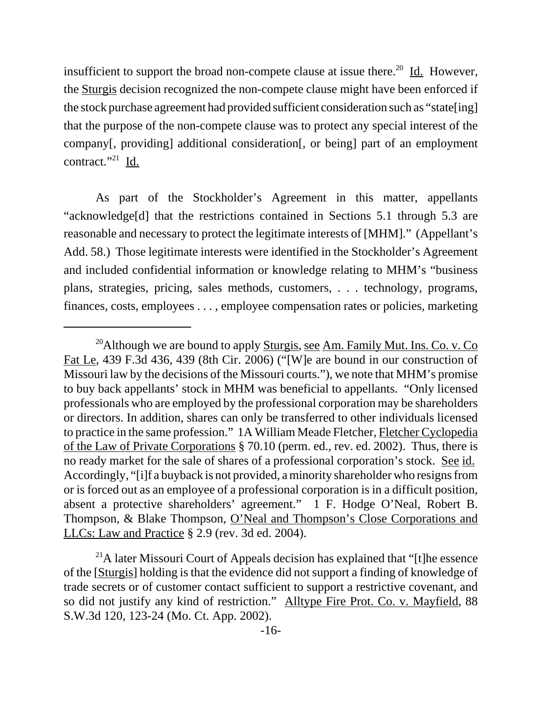insufficient to support the broad non-compete clause at issue there.<sup>20</sup> Id. However, the Sturgis decision recognized the non-compete clause might have been enforced if the stock purchase agreement had provided sufficient consideration such as "state[ing] that the purpose of the non-compete clause was to protect any special interest of the company[, providing] additional consideration[, or being] part of an employment contract."<sup>21</sup> Id.

As part of the Stockholder's Agreement in this matter, appellants "acknowledge[d] that the restrictions contained in Sections 5.1 through 5.3 are reasonable and necessary to protect the legitimate interests of [MHM]." (Appellant's Add. 58.) Those legitimate interests were identified in the Stockholder's Agreement and included confidential information or knowledge relating to MHM's "business plans, strategies, pricing, sales methods, customers, . . . technology, programs, finances, costs, employees . . . , employee compensation rates or policies, marketing

<sup>&</sup>lt;sup>20</sup>Although we are bound to apply Sturgis, see Am. Family Mut. Ins. Co. v. Co. Fat Le, 439 F.3d 436, 439 (8th Cir. 2006) ("[W]e are bound in our construction of Missouri law by the decisions of the Missouri courts."), we note that MHM's promise to buy back appellants' stock in MHM was beneficial to appellants. "Only licensed professionals who are employed by the professional corporation may be shareholders or directors. In addition, shares can only be transferred to other individuals licensed to practice in the same profession." 1A William Meade Fletcher, Fletcher Cyclopedia of the Law of Private Corporations § 70.10 (perm. ed., rev. ed. 2002). Thus, there is no ready market for the sale of shares of a professional corporation's stock. See id. Accordingly, "[i]f a buyback is not provided, a minority shareholder who resigns from or is forced out as an employee of a professional corporation is in a difficult position, absent a protective shareholders' agreement." 1 F. Hodge O'Neal, Robert B. Thompson, & Blake Thompson, O'Neal and Thompson's Close Corporations and LLCs: Law and Practice § 2.9 (rev. 3d ed. 2004).

<sup>&</sup>lt;sup>21</sup>A later Missouri Court of Appeals decision has explained that "[t]he essence of the [Sturgis] holding is that the evidence did not support a finding of knowledge of trade secrets or of customer contact sufficient to support a restrictive covenant, and so did not justify any kind of restriction." Alltype Fire Prot. Co. v. Mayfield, 88 S.W.3d 120, 123-24 (Mo. Ct. App. 2002).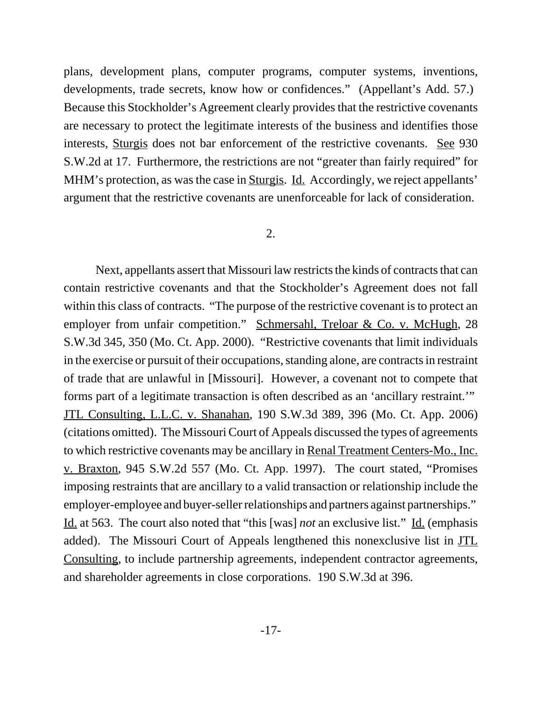plans, development plans, computer programs, computer systems, inventions, developments, trade secrets, know how or confidences." (Appellant's Add. 57.) Because this Stockholder's Agreement clearly provides that the restrictive covenants are necessary to protect the legitimate interests of the business and identifies those interests, Sturgis does not bar enforcement of the restrictive covenants. See 930 S.W.2d at 17. Furthermore, the restrictions are not "greater than fairly required" for MHM's protection, as was the case in Sturgis. Id. Accordingly, we reject appellants' argument that the restrictive covenants are unenforceable for lack of consideration.

#### 2.

Next, appellants assert that Missouri law restricts the kinds of contracts that can contain restrictive covenants and that the Stockholder's Agreement does not fall within this class of contracts. "The purpose of the restrictive covenant is to protect an employer from unfair competition." Schmersahl, Treloar & Co. v. McHugh, 28 S.W.3d 345, 350 (Mo. Ct. App. 2000). "Restrictive covenants that limit individuals in the exercise or pursuit of their occupations, standing alone, are contracts in restraint of trade that are unlawful in [Missouri]. However, a covenant not to compete that forms part of a legitimate transaction is often described as an 'ancillary restraint.'" JTL Consulting, L.L.C. v. Shanahan, 190 S.W.3d 389, 396 (Mo. Ct. App. 2006) (citations omitted). The Missouri Court of Appeals discussed the types of agreements to which restrictive covenants may be ancillary in Renal Treatment Centers-Mo., Inc. v. Braxton, 945 S.W.2d 557 (Mo. Ct. App. 1997). The court stated, "Promises imposing restraints that are ancillary to a valid transaction or relationship include the employer-employee and buyer-seller relationships and partners against partnerships." Id. at 563. The court also noted that "this [was] *not* an exclusive list." Id. (emphasis added). The Missouri Court of Appeals lengthened this nonexclusive list in JTL Consulting, to include partnership agreements, independent contractor agreements, and shareholder agreements in close corporations. 190 S.W.3d at 396.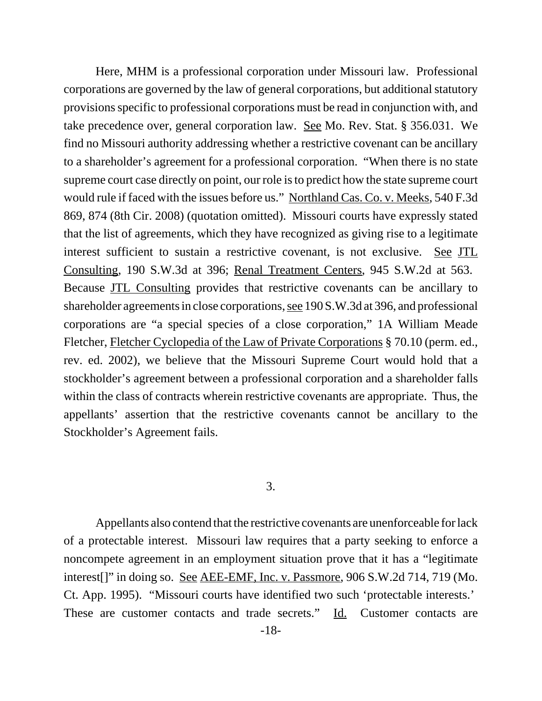Here, MHM is a professional corporation under Missouri law. Professional corporations are governed by the law of general corporations, but additional statutory provisions specific to professional corporations must be read in conjunction with, and take precedence over, general corporation law. See Mo. Rev. Stat. § 356.031. We find no Missouri authority addressing whether a restrictive covenant can be ancillary to a shareholder's agreement for a professional corporation. "When there is no state supreme court case directly on point, our role is to predict how the state supreme court would rule if faced with the issues before us." Northland Cas. Co. v. Meeks, 540 F.3d 869, 874 (8th Cir. 2008) (quotation omitted). Missouri courts have expressly stated that the list of agreements, which they have recognized as giving rise to a legitimate interest sufficient to sustain a restrictive covenant, is not exclusive. See JTL Consulting, 190 S.W.3d at 396; Renal Treatment Centers, 945 S.W.2d at 563. Because JTL Consulting provides that restrictive covenants can be ancillary to shareholder agreements in close corporations, see 190 S.W.3d at 396, and professional corporations are "a special species of a close corporation," 1A William Meade Fletcher, Fletcher Cyclopedia of the Law of Private Corporations § 70.10 (perm. ed., rev. ed. 2002), we believe that the Missouri Supreme Court would hold that a stockholder's agreement between a professional corporation and a shareholder falls within the class of contracts wherein restrictive covenants are appropriate. Thus, the appellants' assertion that the restrictive covenants cannot be ancillary to the Stockholder's Agreement fails.

## 3.

Appellants also contend that the restrictive covenants are unenforceable for lack of a protectable interest. Missouri law requires that a party seeking to enforce a noncompete agreement in an employment situation prove that it has a "legitimate interest[]" in doing so. See AEE-EMF, Inc. v. Passmore, 906 S.W.2d 714, 719 (Mo. Ct. App. 1995). "Missouri courts have identified two such 'protectable interests.' These are customer contacts and trade secrets." Id. Customer contacts are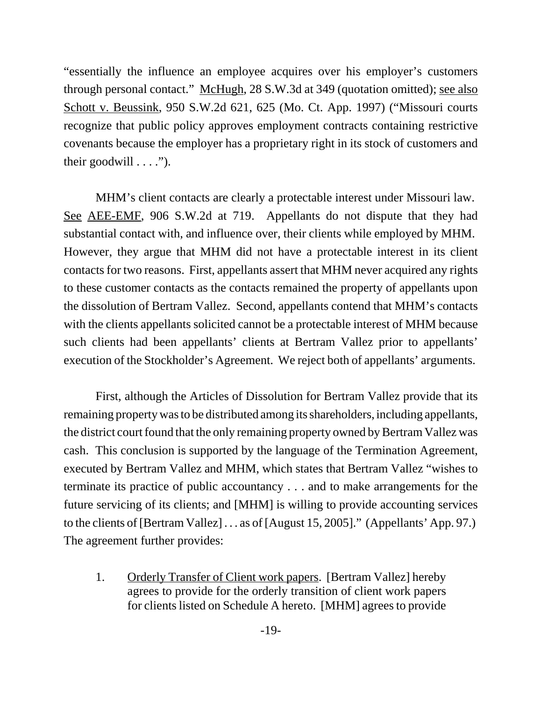"essentially the influence an employee acquires over his employer's customers through personal contact." McHugh, 28 S.W.3d at 349 (quotation omitted); see also Schott v. Beussink, 950 S.W.2d 621, 625 (Mo. Ct. App. 1997) ("Missouri courts recognize that public policy approves employment contracts containing restrictive covenants because the employer has a proprietary right in its stock of customers and their goodwill  $\dots$ .").

MHM's client contacts are clearly a protectable interest under Missouri law. See AEE-EMF, 906 S.W.2d at 719. Appellants do not dispute that they had substantial contact with, and influence over, their clients while employed by MHM. However, they argue that MHM did not have a protectable interest in its client contacts for two reasons. First, appellants assert that MHM never acquired any rights to these customer contacts as the contacts remained the property of appellants upon the dissolution of Bertram Vallez. Second, appellants contend that MHM's contacts with the clients appellants solicited cannot be a protectable interest of MHM because such clients had been appellants' clients at Bertram Vallez prior to appellants' execution of the Stockholder's Agreement. We reject both of appellants' arguments.

First, although the Articles of Dissolution for Bertram Vallez provide that its remaining property was to be distributed among its shareholders, including appellants, the district court found that the only remaining property owned by Bertram Vallez was cash. This conclusion is supported by the language of the Termination Agreement, executed by Bertram Vallez and MHM, which states that Bertram Vallez "wishes to terminate its practice of public accountancy . . . and to make arrangements for the future servicing of its clients; and [MHM] is willing to provide accounting services to the clients of [Bertram Vallez] . . . as of [August 15, 2005]." (Appellants' App. 97.) The agreement further provides:

1. Orderly Transfer of Client work papers. [Bertram Vallez] hereby agrees to provide for the orderly transition of client work papers for clients listed on Schedule A hereto. [MHM] agrees to provide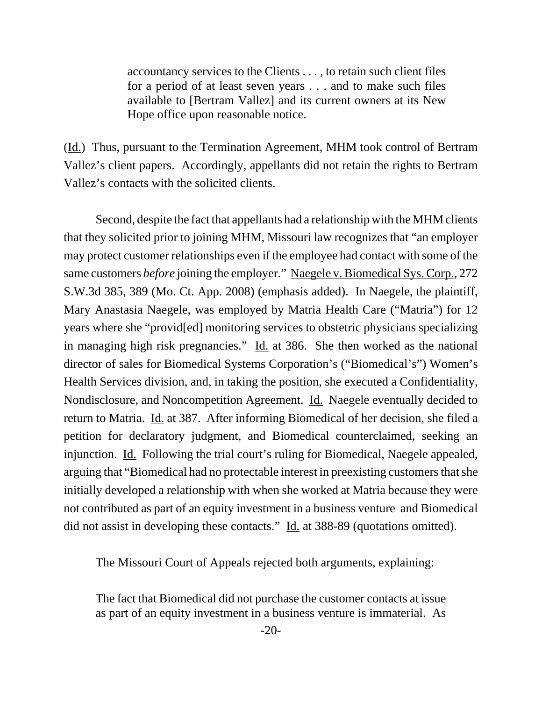accountancy services to the Clients . . . , to retain such client files for a period of at least seven years . . . and to make such files available to [Bertram Vallez] and its current owners at its New Hope office upon reasonable notice.

(Id.) Thus, pursuant to the Termination Agreement, MHM took control of Bertram Vallez's client papers. Accordingly, appellants did not retain the rights to Bertram Vallez's contacts with the solicited clients.

Second, despite the fact that appellants had a relationship with the MHM clients that they solicited prior to joining MHM, Missouri law recognizes that "an employer may protect customer relationships even if the employee had contact with some of the same customers *before* joining the employer." Naegele v. Biomedical Sys. Corp., 272 S.W.3d 385, 389 (Mo. Ct. App. 2008) (emphasis added). In Naegele, the plaintiff, Mary Anastasia Naegele, was employed by Matria Health Care ("Matria") for 12 years where she "provid[ed] monitoring services to obstetric physicians specializing in managing high risk pregnancies." Id. at 386. She then worked as the national director of sales for Biomedical Systems Corporation's ("Biomedical's") Women's Health Services division, and, in taking the position, she executed a Confidentiality, Nondisclosure, and Noncompetition Agreement. Id. Naegele eventually decided to return to Matria. Id. at 387. After informing Biomedical of her decision, she filed a petition for declaratory judgment, and Biomedical counterclaimed, seeking an injunction. Id. Following the trial court's ruling for Biomedical, Naegele appealed, arguing that "Biomedical had no protectable interest in preexisting customers that she initially developed a relationship with when she worked at Matria because they were not contributed as part of an equity investment in a business venture and Biomedical did not assist in developing these contacts." Id. at 388-89 (quotations omitted).

The Missouri Court of Appeals rejected both arguments, explaining:

The fact that Biomedical did not purchase the customer contacts at issue as part of an equity investment in a business venture is immaterial. As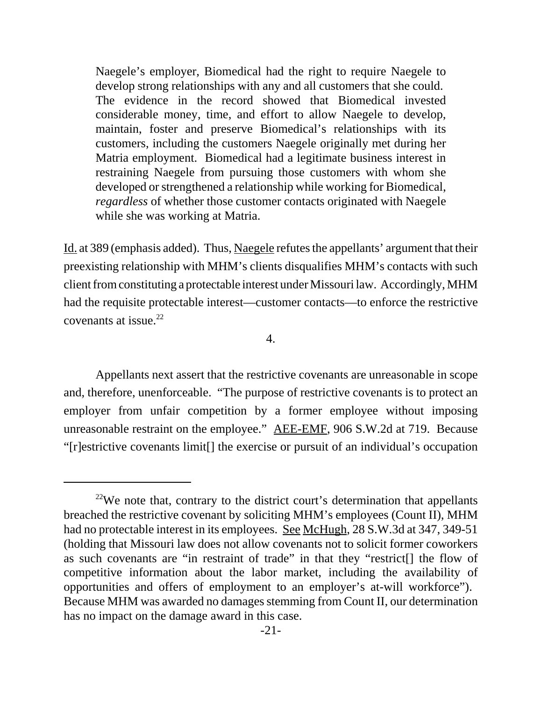Naegele's employer, Biomedical had the right to require Naegele to develop strong relationships with any and all customers that she could. The evidence in the record showed that Biomedical invested considerable money, time, and effort to allow Naegele to develop, maintain, foster and preserve Biomedical's relationships with its customers, including the customers Naegele originally met during her Matria employment. Biomedical had a legitimate business interest in restraining Naegele from pursuing those customers with whom she developed or strengthened a relationship while working for Biomedical, *regardless* of whether those customer contacts originated with Naegele while she was working at Matria.

Id. at 389 (emphasis added). Thus, Naegele refutes the appellants' argument that their preexisting relationship with MHM's clients disqualifies MHM's contacts with such client from constituting a protectable interest under Missouri law. Accordingly, MHM had the requisite protectable interest—customer contacts—to enforce the restrictive covenants at issue.22

# 4.

Appellants next assert that the restrictive covenants are unreasonable in scope and, therefore, unenforceable. "The purpose of restrictive covenants is to protect an employer from unfair competition by a former employee without imposing unreasonable restraint on the employee." AEE-EMF, 906 S.W.2d at 719. Because "[r]estrictive covenants limit[] the exercise or pursuit of an individual's occupation

 $22$ We note that, contrary to the district court's determination that appellants breached the restrictive covenant by soliciting MHM's employees (Count II), MHM had no protectable interest in its employees. See McHugh, 28 S.W.3d at 347, 349-51 (holding that Missouri law does not allow covenants not to solicit former coworkers as such covenants are "in restraint of trade" in that they "restrict[] the flow of competitive information about the labor market, including the availability of opportunities and offers of employment to an employer's at-will workforce"). Because MHM was awarded no damages stemming from Count II, our determination has no impact on the damage award in this case.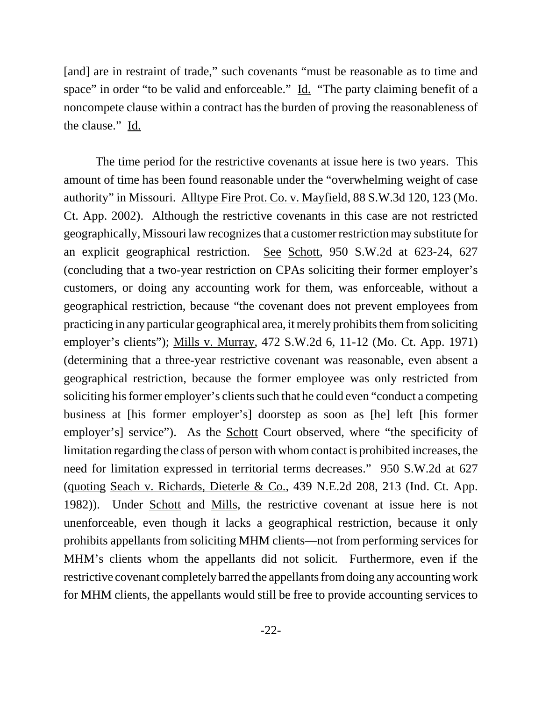[and] are in restraint of trade," such covenants "must be reasonable as to time and space" in order "to be valid and enforceable." Id. "The party claiming benefit of a noncompete clause within a contract has the burden of proving the reasonableness of the clause." Id.

The time period for the restrictive covenants at issue here is two years. This amount of time has been found reasonable under the "overwhelming weight of case authority" in Missouri. Alltype Fire Prot. Co. v. Mayfield, 88 S.W.3d 120, 123 (Mo. Ct. App. 2002). Although the restrictive covenants in this case are not restricted geographically, Missouri law recognizes that a customer restriction may substitute for an explicit geographical restriction. See Schott, 950 S.W.2d at 623-24, 627 (concluding that a two-year restriction on CPAs soliciting their former employer's customers, or doing any accounting work for them, was enforceable, without a geographical restriction, because "the covenant does not prevent employees from practicing in any particular geographical area, it merely prohibits them from soliciting employer's clients"); Mills v. Murray, 472 S.W.2d 6, 11-12 (Mo. Ct. App. 1971) (determining that a three-year restrictive covenant was reasonable, even absent a geographical restriction, because the former employee was only restricted from soliciting his former employer's clients such that he could even "conduct a competing business at [his former employer's] doorstep as soon as [he] left [his former employer's] service"). As the <u>Schott</u> Court observed, where "the specificity of limitation regarding the class of person with whom contact is prohibited increases, the need for limitation expressed in territorial terms decreases." 950 S.W.2d at 627 (quoting Seach v. Richards, Dieterle & Co., 439 N.E.2d 208, 213 (Ind. Ct. App. 1982)). Under Schott and Mills, the restrictive covenant at issue here is not unenforceable, even though it lacks a geographical restriction, because it only prohibits appellants from soliciting MHM clients—not from performing services for MHM's clients whom the appellants did not solicit. Furthermore, even if the restrictive covenant completely barred the appellants from doing any accounting work for MHM clients, the appellants would still be free to provide accounting services to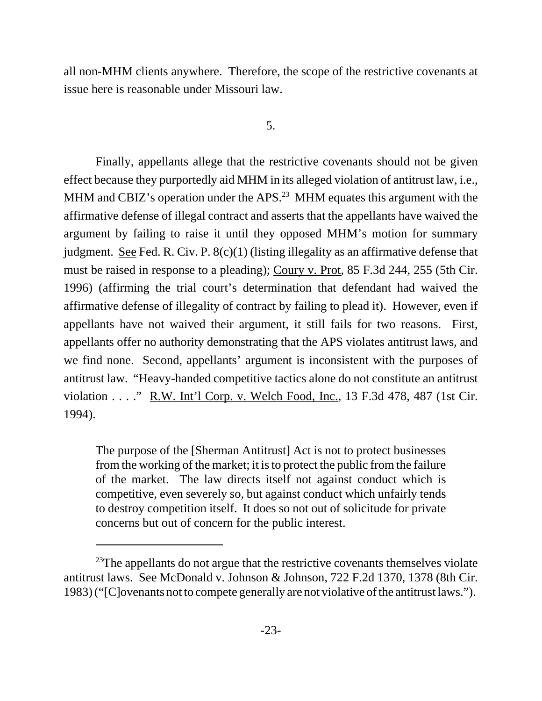all non-MHM clients anywhere. Therefore, the scope of the restrictive covenants at issue here is reasonable under Missouri law.

# 5.

Finally, appellants allege that the restrictive covenants should not be given effect because they purportedly aid MHM in its alleged violation of antitrust law, i.e., MHM and CBIZ's operation under the APS.<sup>23</sup> MHM equates this argument with the affirmative defense of illegal contract and asserts that the appellants have waived the argument by failing to raise it until they opposed MHM's motion for summary judgment. See Fed. R. Civ. P. 8(c)(1) (listing illegality as an affirmative defense that must be raised in response to a pleading); Coury v. Prot, 85 F.3d 244, 255 (5th Cir. 1996) (affirming the trial court's determination that defendant had waived the affirmative defense of illegality of contract by failing to plead it). However, even if appellants have not waived their argument, it still fails for two reasons. First, appellants offer no authority demonstrating that the APS violates antitrust laws, and we find none. Second, appellants' argument is inconsistent with the purposes of antitrust law. "Heavy-handed competitive tactics alone do not constitute an antitrust violation . . . ." R.W. Int'l Corp. v. Welch Food, Inc., 13 F.3d 478, 487 (1st Cir. 1994).

The purpose of the [Sherman Antitrust] Act is not to protect businesses from the working of the market; it is to protect the public from the failure of the market. The law directs itself not against conduct which is competitive, even severely so, but against conduct which unfairly tends to destroy competition itself. It does so not out of solicitude for private concerns but out of concern for the public interest.

<sup>&</sup>lt;sup>23</sup>The appellants do not argue that the restrictive covenants themselves violate antitrust laws. See McDonald v. Johnson & Johnson, 722 F.2d 1370, 1378 (8th Cir. 1983) ("[C]ovenants not to compete generally are not violative of the antitrust laws.").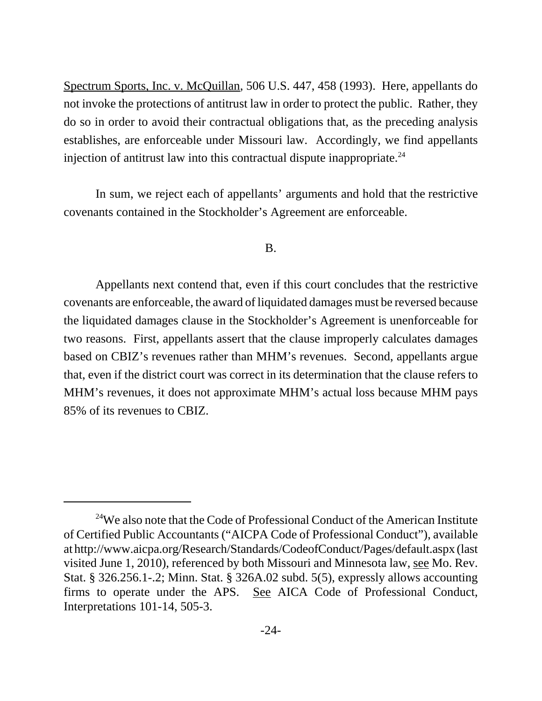Spectrum Sports, Inc. v. McQuillan, 506 U.S. 447, 458 (1993). Here, appellants do not invoke the protections of antitrust law in order to protect the public. Rather, they do so in order to avoid their contractual obligations that, as the preceding analysis establishes, are enforceable under Missouri law. Accordingly, we find appellants injection of antitrust law into this contractual dispute inappropriate.<sup>24</sup>

 In sum, we reject each of appellants' arguments and hold that the restrictive covenants contained in the Stockholder's Agreement are enforceable.

### B.

Appellants next contend that, even if this court concludes that the restrictive covenants are enforceable, the award of liquidated damages must be reversed because the liquidated damages clause in the Stockholder's Agreement is unenforceable for two reasons. First, appellants assert that the clause improperly calculates damages based on CBIZ's revenues rather than MHM's revenues. Second, appellants argue that, even if the district court was correct in its determination that the clause refers to MHM's revenues, it does not approximate MHM's actual loss because MHM pays 85% of its revenues to CBIZ.

<sup>&</sup>lt;sup>24</sup>We also note that the Code of Professional Conduct of the American Institute of Certified Public Accountants ("AICPA Code of Professional Conduct"), available at http://www.aicpa.org/Research/Standards/CodeofConduct/Pages/default.aspx (last visited June 1, 2010), referenced by both Missouri and Minnesota law, see Mo. Rev. Stat. § 326.256.1-.2; Minn. Stat. § 326A.02 subd. 5(5), expressly allows accounting firms to operate under the APS. See AICA Code of Professional Conduct, Interpretations 101-14, 505-3.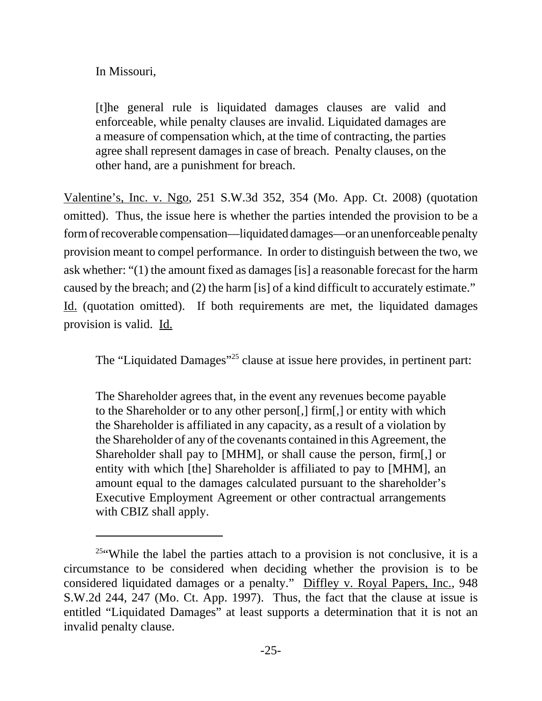# In Missouri,

[t]he general rule is liquidated damages clauses are valid and enforceable, while penalty clauses are invalid. Liquidated damages are a measure of compensation which, at the time of contracting, the parties agree shall represent damages in case of breach. Penalty clauses, on the other hand, are a punishment for breach.

Valentine's, Inc. v. Ngo, 251 S.W.3d 352, 354 (Mo. App. Ct. 2008) (quotation omitted). Thus, the issue here is whether the parties intended the provision to be a form of recoverable compensation—liquidated damages—or an unenforceable penalty provision meant to compel performance. In order to distinguish between the two, we ask whether: "(1) the amount fixed as damages [is] a reasonable forecast for the harm caused by the breach; and (2) the harm [is] of a kind difficult to accurately estimate." Id. (quotation omitted). If both requirements are met, the liquidated damages provision is valid. Id.

The "Liquidated Damages"<sup>25</sup> clause at issue here provides, in pertinent part:

The Shareholder agrees that, in the event any revenues become payable to the Shareholder or to any other person[,] firm[,] or entity with which the Shareholder is affiliated in any capacity, as a result of a violation by the Shareholder of any of the covenants contained in this Agreement, the Shareholder shall pay to [MHM], or shall cause the person, firm[,] or entity with which [the] Shareholder is affiliated to pay to [MHM], an amount equal to the damages calculated pursuant to the shareholder's Executive Employment Agreement or other contractual arrangements with CBIZ shall apply.

<sup>&</sup>lt;sup>25"</sup>While the label the parties attach to a provision is not conclusive, it is a circumstance to be considered when deciding whether the provision is to be considered liquidated damages or a penalty." Diffley v. Royal Papers, Inc., 948 S.W.2d 244, 247 (Mo. Ct. App. 1997). Thus, the fact that the clause at issue is entitled "Liquidated Damages" at least supports a determination that it is not an invalid penalty clause.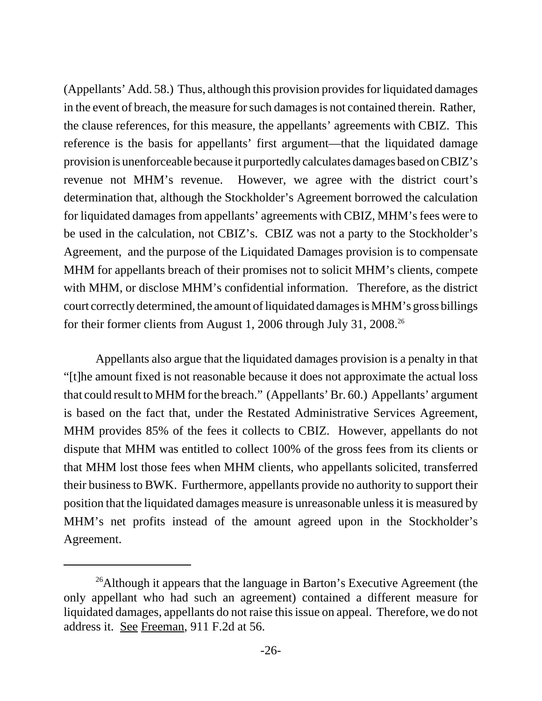(Appellants' Add. 58.) Thus, although this provision provides for liquidated damages in the event of breach, the measure for such damages is not contained therein. Rather, the clause references, for this measure, the appellants' agreements with CBIZ. This reference is the basis for appellants' first argument—that the liquidated damage provision is unenforceable because it purportedly calculates damages based on CBIZ's revenue not MHM's revenue. However, we agree with the district court's determination that, although the Stockholder's Agreement borrowed the calculation for liquidated damages from appellants' agreements with CBIZ, MHM's fees were to be used in the calculation, not CBIZ's. CBIZ was not a party to the Stockholder's Agreement, and the purpose of the Liquidated Damages provision is to compensate MHM for appellants breach of their promises not to solicit MHM's clients, compete with MHM, or disclose MHM's confidential information. Therefore, as the district court correctly determined, the amount of liquidated damages is MHM's gross billings for their former clients from August 1, 2006 through July 31, 2008.26

Appellants also argue that the liquidated damages provision is a penalty in that "[t]he amount fixed is not reasonable because it does not approximate the actual loss that could result to MHM for the breach." (Appellants' Br. 60.) Appellants' argument is based on the fact that, under the Restated Administrative Services Agreement, MHM provides 85% of the fees it collects to CBIZ. However, appellants do not dispute that MHM was entitled to collect 100% of the gross fees from its clients or that MHM lost those fees when MHM clients, who appellants solicited, transferred their business to BWK. Furthermore, appellants provide no authority to support their position that the liquidated damages measure is unreasonable unless it is measured by MHM's net profits instead of the amount agreed upon in the Stockholder's Agreement.

<sup>&</sup>lt;sup>26</sup>Although it appears that the language in Barton's Executive Agreement (the only appellant who had such an agreement) contained a different measure for liquidated damages, appellants do not raise this issue on appeal. Therefore, we do not address it. See Freeman, 911 F.2d at 56.